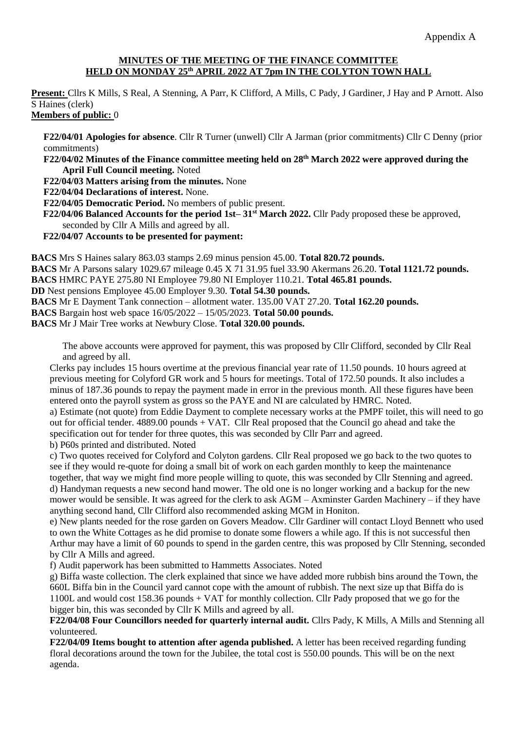## **MINUTES OF THE MEETING OF THE FINANCE COMMITTEE HELD ON MONDAY 25th APRIL 2022 AT 7pm IN THE COLYTON TOWN HALL**

**Present:** Cllrs K Mills, S Real, A Stenning, A Parr, K Clifford, A Mills, C Pady, J Gardiner, J Hay and P Arnott. Also S Haines (clerk)

## **Members of public:** 0

**F22/04/01 Apologies for absence**. Cllr R Turner (unwell) Cllr A Jarman (prior commitments) Cllr C Denny (prior commitments)

**F22/04/02 Minutes of the Finance committee meeting held on 28th March 2022 were approved during the April Full Council meeting.** Noted

**F22/04/03 Matters arising from the minutes.** None

**F22/04/04 Declarations of interest.** None.

**F22/04/05 Democratic Period.** No members of public present.

 **F22/04/06 Balanced Accounts for the period 1st– 31st March 2022.** Cllr Pady proposed these be approved, seconded by Cllr A Mills and agreed by all.

**F22/04/07 Accounts to be presented for payment:**

**BACS** Mrs S Haines salary 863.03 stamps 2.69 minus pension 45.00. **Total 820.72 pounds.** 

**BACS** Mr A Parsons salary 1029.67 mileage 0.45 X 71 31.95 fuel 33.90 Akermans 26.20. **Total 1121.72 pounds.** 

**BACS** HMRC PAYE 275.80 NI Employee 79.80 NI Employer 110.21. **Total 465.81 pounds.** 

**DD** Nest pensions Employee 45.00 Employer 9.30. **Total 54.30 pounds.** 

**BACS** Mr E Dayment Tank connection – allotment water. 135.00 VAT 27.20. **Total 162.20 pounds.** 

**BACS** Bargain host web space 16/05/2022 – 15/05/2023. **Total 50.00 pounds.** 

**BACS** Mr J Mair Tree works at Newbury Close. **Total 320.00 pounds.**

The above accounts were approved for payment, this was proposed by Cllr Clifford, seconded by Cllr Real and agreed by all.

Clerks pay includes 15 hours overtime at the previous financial year rate of 11.50 pounds. 10 hours agreed at previous meeting for Colyford GR work and 5 hours for meetings. Total of 172.50 pounds. It also includes a minus of 187.36 pounds to repay the payment made in error in the previous month. All these figures have been entered onto the payroll system as gross so the PAYE and NI are calculated by HMRC. Noted.

a) Estimate (not quote) from Eddie Dayment to complete necessary works at the PMPF toilet, this will need to go out for official tender. 4889.00 pounds + VAT. Cllr Real proposed that the Council go ahead and take the specification out for tender for three quotes, this was seconded by Cllr Parr and agreed.

b) P60s printed and distributed. Noted

c) Two quotes received for Colyford and Colyton gardens. Cllr Real proposed we go back to the two quotes to see if they would re-quote for doing a small bit of work on each garden monthly to keep the maintenance together, that way we might find more people willing to quote, this was seconded by Cllr Stenning and agreed. d) Handyman requests a new second hand mower. The old one is no longer working and a backup for the new mower would be sensible. It was agreed for the clerk to ask AGM – Axminster Garden Machinery – if they have anything second hand, Cllr Clifford also recommended asking MGM in Honiton.

e) New plants needed for the rose garden on Govers Meadow. Cllr Gardiner will contact Lloyd Bennett who used to own the White Cottages as he did promise to donate some flowers a while ago. If this is not successful then Arthur may have a limit of 60 pounds to spend in the garden centre, this was proposed by Cllr Stenning, seconded by Cllr A Mills and agreed.

f) Audit paperwork has been submitted to Hammetts Associates. Noted

g) Biffa waste collection. The clerk explained that since we have added more rubbish bins around the Town, the 660L Biffa bin in the Council yard cannot cope with the amount of rubbish. The next size up that Biffa do is 1100L and would cost 158.36 pounds + VAT for monthly collection. Cllr Pady proposed that we go for the bigger bin, this was seconded by Cllr K Mills and agreed by all.

**F22/04/08 Four Councillors needed for quarterly internal audit.** Cllrs Pady, K Mills, A Mills and Stenning all volunteered.

**F22/04/09 Items bought to attention after agenda published.** A letter has been received regarding funding floral decorations around the town for the Jubilee, the total cost is 550.00 pounds. This will be on the next agenda.